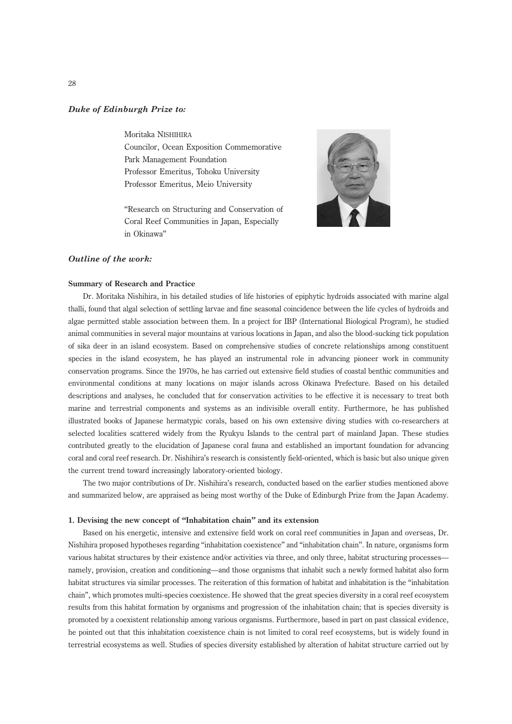# Duke of Edinburgh Prize to:

Moritaka NISHIHIRA Councilor, Ocean Exposition Commemorative Park Management Foundation Professor Emeritus, Tohoku University Professor Emeritus, Meio University

''Research on Structuring and Conservation of Coral Reef Communities in Japan, Especially in Okinawa''



# Outline of the work:

#### Summary of Research and Practice

Dr. Moritaka Nishihira, in his detailed studies of life histories of epiphytic hydroids associated with marine algal thalli, found that algal selection of settling larvae and fine seasonal coincidence between the life cycles of hydroids and algae permitted stable association between them. In a project for IBP (International Biological Program), he studied animal communities in several major mountains at various locations in Japan, and also the blood-sucking tick population of sika deer in an island ecosystem. Based on comprehensive studies of concrete relationships among constituent species in the island ecosystem, he has played an instrumental role in advancing pioneer work in community conservation programs. Since the 1970s, he has carried out extensive field studies of coastal benthic communities and environmental conditions at many locations on major islands across Okinawa Prefecture. Based on his detailed descriptions and analyses, he concluded that for conservation activities to be effective it is necessary to treat both marine and terrestrial components and systems as an indivisible overall entity. Furthermore, he has published illustrated books of Japanese hermatypic corals, based on his own extensive diving studies with co-researchers at selected localities scattered widely from the Ryukyu Islands to the central part of mainland Japan. These studies contributed greatly to the elucidation of Japanese coral fauna and established an important foundation for advancing coral and coral reef research. Dr. Nishihira's research is consistently field-oriented, which is basic but also unique given the current trend toward increasingly laboratory-oriented biology.

The two major contributions of Dr. Nishihira's research, conducted based on the earlier studies mentioned above and summarized below, are appraised as being most worthy of the Duke of Edinburgh Prize from the Japan Academy.

#### 1. Devising the new concept of ''Inhabitation chain'' and its extension

Based on his energetic, intensive and extensive field work on coral reef communities in Japan and overseas, Dr. Nishihira proposed hypotheses regarding ''inhabitation coexistence'' and ''inhabitation chain''. In nature, organisms form various habitat structures by their existence and/or activities via three, and only three, habitat structuring processes namely, provision, creation and conditioning—and those organisms that inhabit such a newly formed habitat also form habitat structures via similar processes. The reiteration of this formation of habitat and inhabitation is the ''inhabitation chain'', which promotes multi-species coexistence. He showed that the great species diversity in a coral reef ecosystem results from this habitat formation by organisms and progression of the inhabitation chain; that is species diversity is promoted by a coexistent relationship among various organisms. Furthermore, based in part on past classical evidence, he pointed out that this inhabitation coexistence chain is not limited to coral reef ecosystems, but is widely found in terrestrial ecosystems as well. Studies of species diversity established by alteration of habitat structure carried out by

28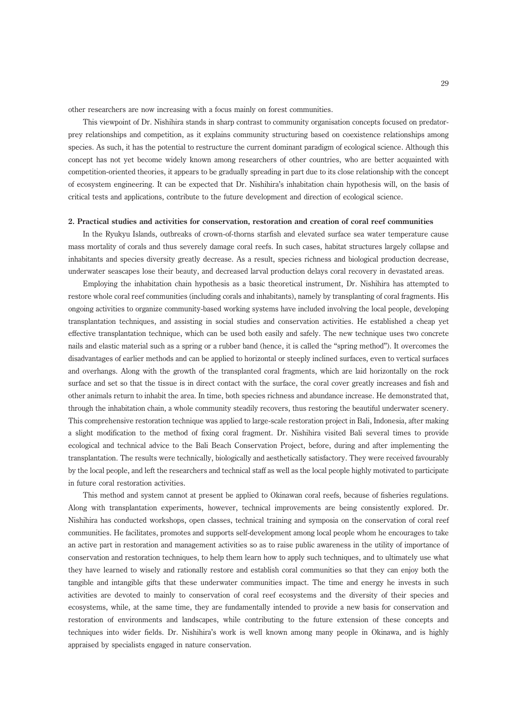other researchers are now increasing with a focus mainly on forest communities.

This viewpoint of Dr. Nishihira stands in sharp contrast to community organisation concepts focused on predatorprey relationships and competition, as it explains community structuring based on coexistence relationships among species. As such, it has the potential to restructure the current dominant paradigm of ecological science. Although this concept has not yet become widely known among researchers of other countries, who are better acquainted with competition-oriented theories, it appears to be gradually spreading in part due to its close relationship with the concept of ecosystem engineering. It can be expected that Dr. Nishihira's inhabitation chain hypothesis will, on the basis of critical tests and applications, contribute to the future development and direction of ecological science.

## 2. Practical studies and activities for conservation, restoration and creation of coral reef communities

In the Ryukyu Islands, outbreaks of crown-of-thorns starfish and elevated surface sea water temperature cause mass mortality of corals and thus severely damage coral reefs. In such cases, habitat structures largely collapse and inhabitants and species diversity greatly decrease. As a result, species richness and biological production decrease, underwater seascapes lose their beauty, and decreased larval production delays coral recovery in devastated areas.

Employing the inhabitation chain hypothesis as a basic theoretical instrument, Dr. Nishihira has attempted to restore whole coral reef communities (including corals and inhabitants), namely by transplanting of coral fragments. His ongoing activities to organize community-based working systems have included involving the local people, developing transplantation techniques, and assisting in social studies and conservation activities. He established a cheap yet effective transplantation technique, which can be used both easily and safely. The new technique uses two concrete nails and elastic material such as a spring or a rubber band (hence, it is called the ''spring method''). It overcomes the disadvantages of earlier methods and can be applied to horizontal or steeply inclined surfaces, even to vertical surfaces and overhangs. Along with the growth of the transplanted coral fragments, which are laid horizontally on the rock surface and set so that the tissue is in direct contact with the surface, the coral cover greatly increases and fish and other animals return to inhabit the area. In time, both species richness and abundance increase. He demonstrated that, through the inhabitation chain, a whole community steadily recovers, thus restoring the beautiful underwater scenery. This comprehensive restoration technique was applied to large-scale restoration project in Bali, Indonesia, after making a slight modification to the method of fixing coral fragment. Dr. Nishihira visited Bali several times to provide ecological and technical advice to the Bali Beach Conservation Project, before, during and after implementing the transplantation. The results were technically, biologically and aesthetically satisfactory. They were received favourably by the local people, and left the researchers and technical staff as well as the local people highly motivated to participate in future coral restoration activities.

This method and system cannot at present be applied to Okinawan coral reefs, because of fisheries regulations. Along with transplantation experiments, however, technical improvements are being consistently explored. Dr. Nishihira has conducted workshops, open classes, technical training and symposia on the conservation of coral reef communities. He facilitates, promotes and supports self-development among local people whom he encourages to take an active part in restoration and management activities so as to raise public awareness in the utility of importance of conservation and restoration techniques, to help them learn how to apply such techniques, and to ultimately use what they have learned to wisely and rationally restore and establish coral communities so that they can enjoy both the tangible and intangible gifts that these underwater communities impact. The time and energy he invests in such activities are devoted to mainly to conservation of coral reef ecosystems and the diversity of their species and ecosystems, while, at the same time, they are fundamentally intended to provide a new basis for conservation and restoration of environments and landscapes, while contributing to the future extension of these concepts and techniques into wider fields. Dr. Nishihira's work is well known among many people in Okinawa, and is highly appraised by specialists engaged in nature conservation.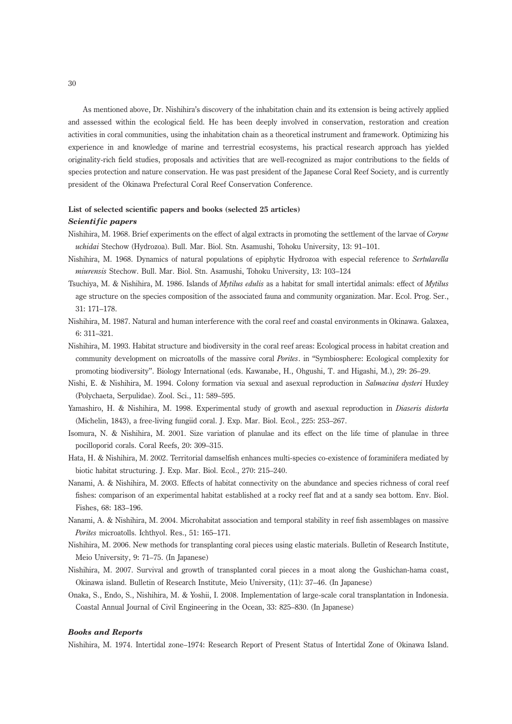As mentioned above, Dr. Nishihira's discovery of the inhabitation chain and its extension is being actively applied and assessed within the ecological field. He has been deeply involved in conservation, restoration and creation activities in coral communities, using the inhabitation chain as a theoretical instrument and framework. Optimizing his experience in and knowledge of marine and terrestrial ecosystems, his practical research approach has yielded originality-rich field studies, proposals and activities that are well-recognized as major contributions to the fields of species protection and nature conservation. He was past president of the Japanese Coral Reef Society, and is currently president of the Okinawa Prefectural Coral Reef Conservation Conference.

## List of selected scientific papers and books (selected 25 articles)

### Scientific papers

- Nishihira, M. 1968. Brief experiments on the effect of algal extracts in promoting the settlement of the larvae of Coryne uchidai Stechow (Hydrozoa). Bull. Mar. Biol. Stn. Asamushi, Tohoku University, 13: 91–101.
- Nishihira, M. 1968. Dynamics of natural populations of epiphytic Hydrozoa with especial reference to Sertularella miurensis Stechow. Bull. Mar. Biol. Stn. Asamushi, Tohoku University, 13: 103–124
- Tsuchiya, M. & Nishihira, M. 1986. Islands of Mytilus edulis as a habitat for small intertidal animals: effect of Mytilus age structure on the species composition of the associated fauna and community organization. Mar. Ecol. Prog. Ser., 31: 171–178.
- Nishihira, M. 1987. Natural and human interference with the coral reef and coastal environments in Okinawa. Galaxea, 6: 311–321.
- Nishihira, M. 1993. Habitat structure and biodiversity in the coral reef areas: Ecological process in habitat creation and community development on microatolls of the massive coral *Porites*. in "Symbiosphere: Ecological complexity for promoting biodiversity''. Biology International (eds. Kawanabe, H., Ohgushi, T. and Higashi, M.), 29: 26–29.
- Nishi, E. & Nishihira, M. 1994. Colony formation via sexual and asexual reproduction in Salmacina dysteri Huxley (Polychaeta, Serpulidae). Zool. Sci., 11: 589–595.
- Yamashiro, H. & Nishihira, M. 1998. Experimental study of growth and asexual reproduction in *Diaseris distorta* (Michelin, 1843), a free-living fungiid coral. J. Exp. Mar. Biol. Ecol., 225: 253–267.
- Isomura, N. & Nishihira, M. 2001. Size variation of planulae and its effect on the life time of planulae in three pocilloporid corals. Coral Reefs, 20: 309–315.
- Hata, H. & Nishihira, M. 2002. Territorial damselfish enhances multi-species co-existence of foraminifera mediated by biotic habitat structuring. J. Exp. Mar. Biol. Ecol., 270: 215–240.
- Nanami, A. & Nishihira, M. 2003. Effects of habitat connectivity on the abundance and species richness of coral reef fishes: comparison of an experimental habitat established at a rocky reef flat and at a sandy sea bottom. Env. Biol. Fishes, 68: 183–196.
- Nanami, A. & Nishihira, M. 2004. Microhabitat association and temporal stability in reef fish assemblages on massive Porites microatolls. Ichthyol. Res., 51: 165–171.
- Nishihira, M. 2006. New methods for transplanting coral pieces using elastic materials. Bulletin of Research Institute, Meio University, 9: 71–75. (In Japanese)
- Nishihira, M. 2007. Survival and growth of transplanted coral pieces in a moat along the Gushichan-hama coast, Okinawa island. Bulletin of Research Institute, Meio University, (11): 37–46. (In Japanese)
- Onaka, S., Endo, S., Nishihira, M. & Yoshii, I. 2008. Implementation of large-scale coral transplantation in Indonesia. Coastal Annual Journal of Civil Engineering in the Ocean, 33: 825–830. (In Japanese)

#### Books and Reports

Nishihira, M. 1974. Intertidal zone–1974: Research Report of Present Status of Intertidal Zone of Okinawa Island.